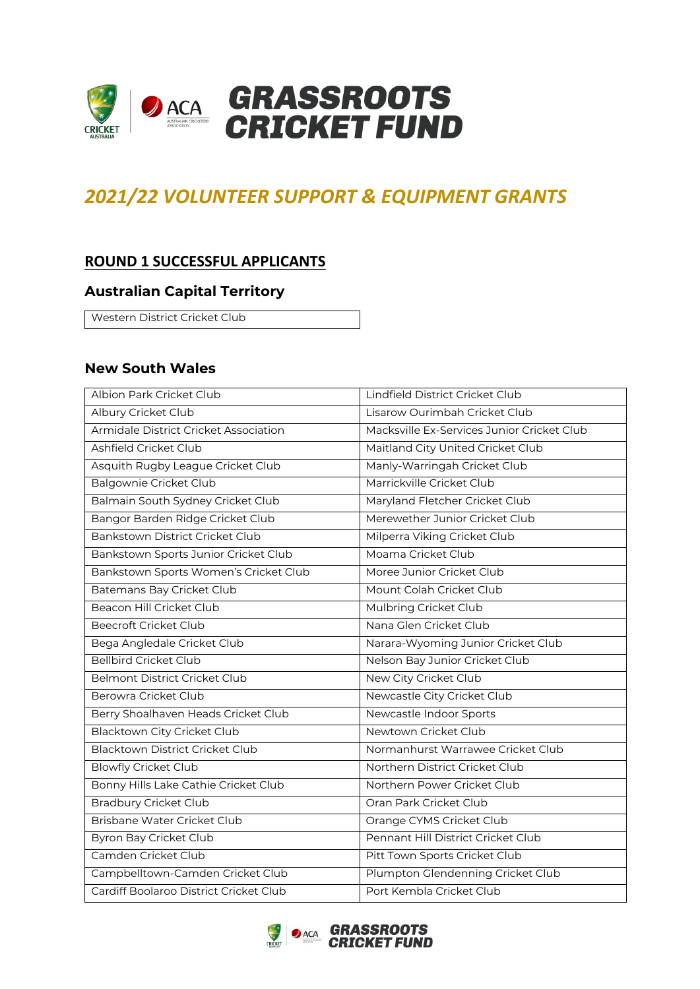

# *2021/22 VOLUNTEER SUPPORT & EQUIPMENT GRANTS*

### **ROUND 1 SUCCESSFUL APPLICANTS**

#### **Australian Capital Territory**

Western District Cricket Club

#### **New South Wales**

| Albion Park Cricket Club               | Lindfield District Cricket Club            |
|----------------------------------------|--------------------------------------------|
| Albury Cricket Club                    | Lisarow Ourimbah Cricket Club              |
| Armidale District Cricket Association  | Macksville Ex-Services Junior Cricket Club |
| Ashfield Cricket Club                  | Maitland City United Cricket Club          |
| Asquith Rugby League Cricket Club      | Manly-Warringah Cricket Club               |
| <b>Balgownie Cricket Club</b>          | Marrickville Cricket Club                  |
| Balmain South Sydney Cricket Club      | Maryland Fletcher Cricket Club             |
| Bangor Barden Ridge Cricket Club       | Merewether Junior Cricket Club             |
| Bankstown District Cricket Club        | Milperra Viking Cricket Club               |
| Bankstown Sports Junior Cricket Club   | Moama Cricket Club                         |
| Bankstown Sports Women's Cricket Club  | Moree Junior Cricket Club                  |
| Batemans Bay Cricket Club              | Mount Colah Cricket Club                   |
| Beacon Hill Cricket Club               | Mulbring Cricket Club                      |
| <b>Beecroft Cricket Club</b>           | Nana Glen Cricket Club                     |
| Bega Angledale Cricket Club            | Narara-Wyoming Junior Cricket Club         |
| <b>Bellbird Cricket Club</b>           | Nelson Bay Junior Cricket Club             |
| <b>Belmont District Cricket Club</b>   | New City Cricket Club                      |
| <b>Berowra Cricket Club</b>            | Newcastle City Cricket Club                |
| Berry Shoalhaven Heads Cricket Club    | Newcastle Indoor Sports                    |
| Blacktown City Cricket Club            | Newtown Cricket Club                       |
| <b>Blacktown District Cricket Club</b> | Normanhurst Warrawee Cricket Club          |
| <b>Blowfly Cricket Club</b>            | Northern District Cricket Club             |
| Bonny Hills Lake Cathie Cricket Club   | Northern Power Cricket Club                |
| <b>Bradbury Cricket Club</b>           | Oran Park Cricket Club                     |
| <b>Brisbane Water Cricket Club</b>     | Orange CYMS Cricket Club                   |
| Byron Bay Cricket Club                 | Pennant Hill District Cricket Club         |
| Camden Cricket Club                    | Pitt Town Sports Cricket Club              |
| Campbelltown-Camden Cricket Club       | Plumpton Glendenning Cricket Club          |
| Cardiff Boolaroo District Cricket Club | Port Kembla Cricket Club                   |

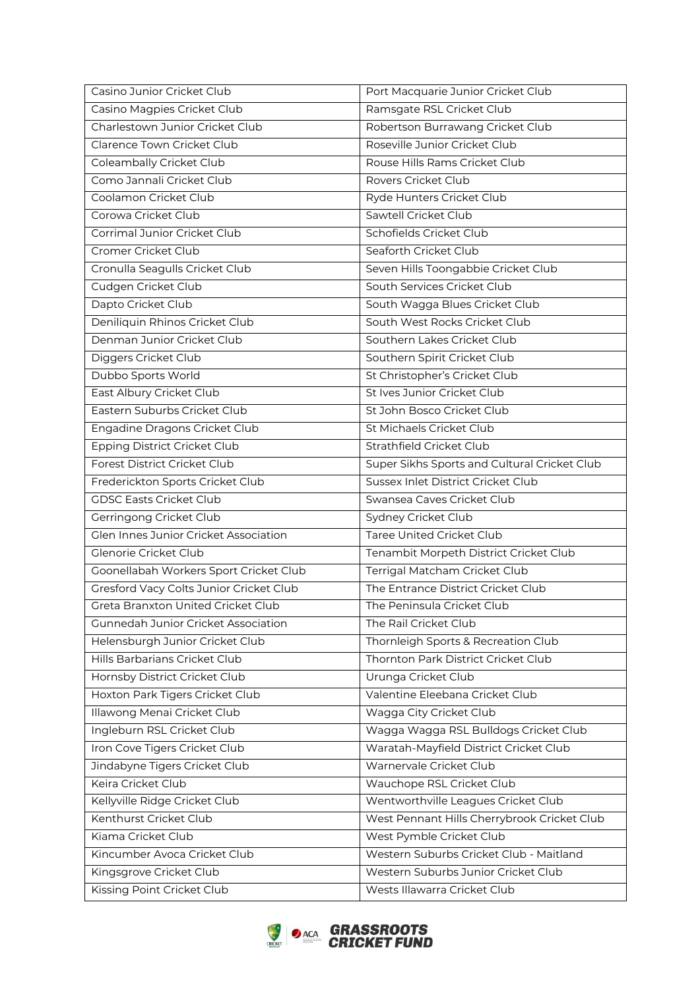| Casino Junior Cricket Club                   | Port Macquarie Junior Cricket Club           |
|----------------------------------------------|----------------------------------------------|
| Casino Magpies Cricket Club                  | Ramsgate RSL Cricket Club                    |
| Charlestown Junior Cricket Club              | Robertson Burrawang Cricket Club             |
| Clarence Town Cricket Club                   | Roseville Junior Cricket Club                |
| Coleambally Cricket Club                     | Rouse Hills Rams Cricket Club                |
| Como Jannali Cricket Club                    | Rovers Cricket Club                          |
| Coolamon Cricket Club                        | Ryde Hunters Cricket Club                    |
| Corowa Cricket Club                          | Sawtell Cricket Club                         |
| Corrimal Junior Cricket Club                 | Schofields Cricket Club                      |
| Cromer Cricket Club                          | Seaforth Cricket Club                        |
| Cronulla Seagulls Cricket Club               | Seven Hills Toongabbie Cricket Club          |
| Cudgen Cricket Club                          | South Services Cricket Club                  |
| Dapto Cricket Club                           | South Wagga Blues Cricket Club               |
| Deniliquin Rhinos Cricket Club               | South West Rocks Cricket Club                |
| Denman Junior Cricket Club                   | Southern Lakes Cricket Club                  |
| Diggers Cricket Club                         | Southern Spirit Cricket Club                 |
| Dubbo Sports World                           | St Christopher's Cricket Club                |
| East Albury Cricket Club                     | St Ives Junior Cricket Club                  |
| Eastern Suburbs Cricket Club                 | St John Bosco Cricket Club                   |
| Engadine Dragons Cricket Club                | St Michaels Cricket Club                     |
| Epping District Cricket Club                 | Strathfield Cricket Club                     |
| Forest District Cricket Club                 | Super Sikhs Sports and Cultural Cricket Club |
| Frederickton Sports Cricket Club             | Sussex Inlet District Cricket Club           |
| <b>GDSC Easts Cricket Club</b>               | Swansea Caves Cricket Club                   |
| Gerringong Cricket Club                      | Sydney Cricket Club                          |
| <b>Glen Innes Junior Cricket Association</b> | <b>Taree United Cricket Club</b>             |
| Glenorie Cricket Club                        | Tenambit Morpeth District Cricket Club       |
| Goonellabah Workers Sport Cricket Club       | Terrigal Matcham Cricket Club                |
| Gresford Vacy Colts Junior Cricket Club      | The Entrance District Cricket Club           |
| Greta Branxton United Cricket Club           | The Peninsula Cricket Club                   |
| Gunnedah Junior Cricket Association          | The Rail Cricket Club                        |
| Helensburgh Junior Cricket Club              | Thornleigh Sports & Recreation Club          |
| Hills Barbarians Cricket Club                | Thornton Park District Cricket Club          |
| Hornsby District Cricket Club                | Urunga Cricket Club                          |
| Hoxton Park Tigers Cricket Club              | Valentine Eleebana Cricket Club              |
| Illawong Menai Cricket Club                  | Wagga City Cricket Club                      |
| Ingleburn RSL Cricket Club                   | Wagga Wagga RSL Bulldogs Cricket Club        |
| Iron Cove Tigers Cricket Club                | Waratah-Mayfield District Cricket Club       |
| Jindabyne Tigers Cricket Club                | Warnervale Cricket Club                      |
| Keira Cricket Club                           | Wauchope RSL Cricket Club                    |
| Kellyville Ridge Cricket Club                | Wentworthville Leagues Cricket Club          |
| Kenthurst Cricket Club                       | West Pennant Hills Cherrybrook Cricket Club  |
| Kiama Cricket Club                           | West Pymble Cricket Club                     |
| Kincumber Avoca Cricket Club                 | Western Suburbs Cricket Club - Maitland      |
| Kingsgrove Cricket Club                      | Western Suburbs Junior Cricket Club          |
| Kissing Point Cricket Club                   | Wests Illawarra Cricket Club                 |
|                                              |                                              |

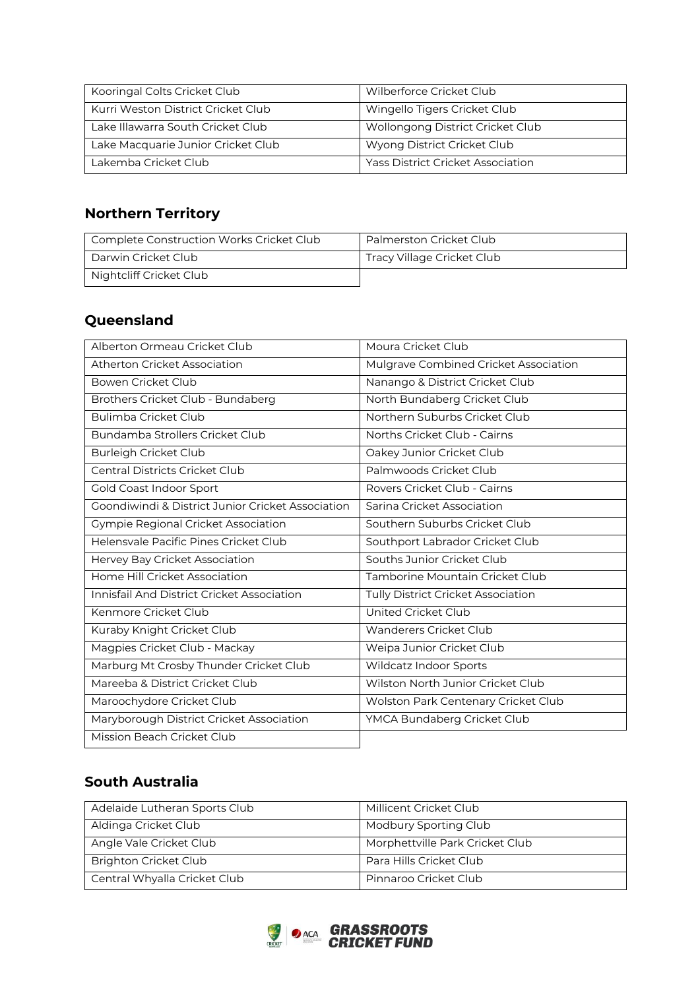| Kooringal Colts Cricket Club       | Wilberforce Cricket Club                 |
|------------------------------------|------------------------------------------|
| Kurri Weston District Cricket Club | Wingello Tigers Cricket Club             |
| Lake Illawarra South Cricket Club  | Wollongong District Cricket Club         |
| Lake Macquarie Junior Cricket Club | Wyong District Cricket Club              |
| Lakemba Cricket Club               | <b>Yass District Cricket Association</b> |

## **Northern Territory**

| Complete Construction Works Cricket Club | Palmerston Cricket Club    |
|------------------------------------------|----------------------------|
| Darwin Cricket Club                      | Tracy Village Cricket Club |
| Nightcliff Cricket Club                  |                            |

# **Queensland**

| Alberton Ormeau Cricket Club                      | Moura Cricket Club                    |
|---------------------------------------------------|---------------------------------------|
| Atherton Cricket Association                      | Mulgrave Combined Cricket Association |
| Bowen Cricket Club                                | Nanango & District Cricket Club       |
| Brothers Cricket Club - Bundaberg                 | North Bundaberg Cricket Club          |
| Bulimba Cricket Club                              | Northern Suburbs Cricket Club         |
| Bundamba Strollers Cricket Club                   | Norths Cricket Club - Cairns          |
| Burleigh Cricket Club                             | Oakey Junior Cricket Club             |
| Central Districts Cricket Club                    | Palmwoods Cricket Club                |
| Gold Coast Indoor Sport                           | Rovers Cricket Club - Cairns          |
| Goondiwindi & District Junior Cricket Association | Sarina Cricket Association            |
| <b>Gympie Regional Cricket Association</b>        | Southern Suburbs Cricket Club         |
| Helensvale Pacific Pines Cricket Club             | Southport Labrador Cricket Club       |
| Hervey Bay Cricket Association                    | Souths Junior Cricket Club            |
| Home Hill Cricket Association                     | Tamborine Mountain Cricket Club       |
| Innisfail And District Cricket Association        | Tully District Cricket Association    |
| Kenmore Cricket Club                              | United Cricket Club                   |
| Kuraby Knight Cricket Club                        | Wanderers Cricket Club                |
| Magpies Cricket Club - Mackay                     | Weipa Junior Cricket Club             |
| Marburg Mt Crosby Thunder Cricket Club            | Wildcatz Indoor Sports                |
| Mareeba & District Cricket Club                   | Wilston North Junior Cricket Club     |
| Maroochydore Cricket Club                         | Wolston Park Centenary Cricket Club   |
| Maryborough District Cricket Association          | YMCA Bundaberg Cricket Club           |
| Mission Beach Cricket Club                        |                                       |

## **South Australia**

| Millicent Cricket Club          |
|---------------------------------|
|                                 |
| Modbury Sporting Club           |
|                                 |
| Morphettville Park Cricket Club |
|                                 |
| Para Hills Cricket Club         |
|                                 |
| Pinnaroo Cricket Club           |
|                                 |
|                                 |

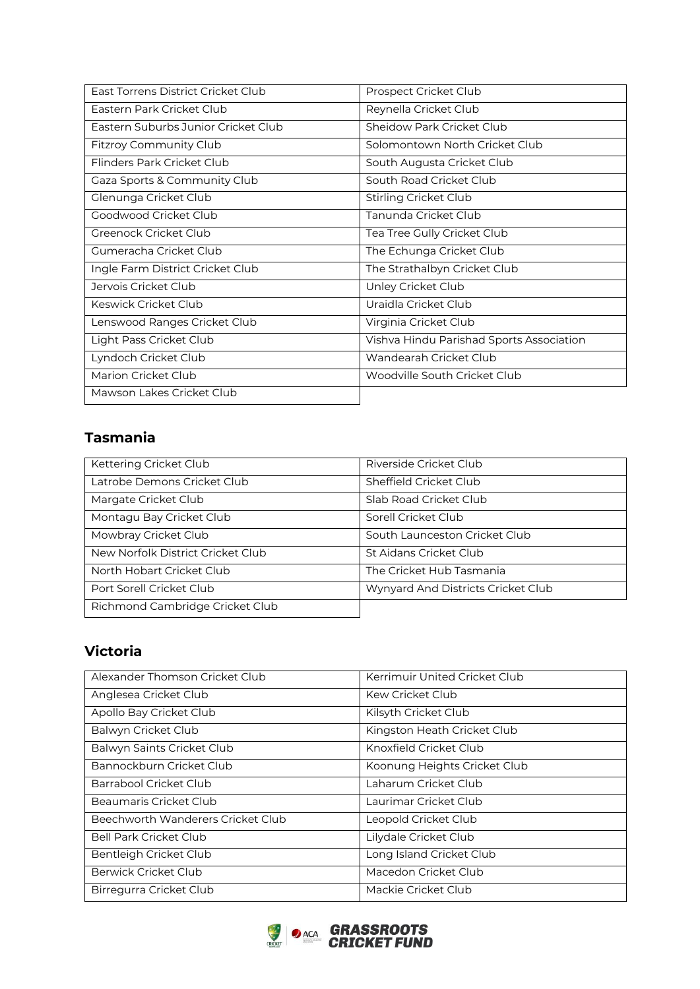| East Torrens District Cricket Club  | Prospect Cricket Club                    |
|-------------------------------------|------------------------------------------|
| Fastern Park Cricket Club           | Reynella Cricket Club                    |
| Fastern Suburbs Junior Cricket Club | Sheidow Park Cricket Club                |
| Fitzroy Community Club              | Solomontown North Cricket Club           |
| Flinders Park Cricket Club          | South Augusta Cricket Club               |
| Gaza Sports & Community Club        | South Road Cricket Club                  |
| Glenunga Cricket Club               | Stirling Cricket Club                    |
| Goodwood Cricket Club               | Tanunda Cricket Club                     |
| Greenock Cricket Club               | Tea Tree Gully Cricket Club              |
| Gumeracha Cricket Club              | The Echunga Cricket Club                 |
| Ingle Farm District Cricket Club    | The Strathalbyn Cricket Club             |
| Jervois Cricket Club                | Unley Cricket Club                       |
| Keswick Cricket Club                | Uraidla Cricket Club                     |
| Lenswood Ranges Cricket Club        | Virginia Cricket Club                    |
| Light Pass Cricket Club             | Vishva Hindu Parishad Sports Association |
| Lyndoch Cricket Club                | Wandearah Cricket Club                   |
| Marion Cricket Club                 | Woodville South Cricket Club             |
| Mawson Lakes Cricket Club           |                                          |

## **Tasmania**

| Kettering Cricket Club            | Riverside Cricket Club             |
|-----------------------------------|------------------------------------|
| Latrobe Demons Cricket Club       | Sheffield Cricket Club             |
| Margate Cricket Club              | Slab Road Cricket Club             |
| Montagu Bay Cricket Club          | Sorell Cricket Club                |
| Mowbray Cricket Club              | South Launceston Cricket Club      |
| New Norfolk District Cricket Club | St Aidans Cricket Club             |
| North Hobart Cricket Club         | The Cricket Hub Tasmania           |
| Port Sorell Cricket Club          | Wynyard And Districts Cricket Club |
| Richmond Cambridge Cricket Club   |                                    |

## **Victoria**

| Alexander Thomson Cricket Club    | Kerrimuir United Cricket Club |
|-----------------------------------|-------------------------------|
| Anglesea Cricket Club             | <b>Kew Cricket Club</b>       |
| Apollo Bay Cricket Club           | Kilsyth Cricket Club          |
| Balwyn Cricket Club               | Kingston Heath Cricket Club   |
| Balwyn Saints Cricket Club        | Knoxfield Cricket Club        |
| Bannockburn Cricket Club          | Koonung Heights Cricket Club  |
| Barrabool Cricket Club            | Laharum Cricket Club          |
| Beaumaris Cricket Club            | Laurimar Cricket Club         |
| Beechworth Wanderers Cricket Club | Leopold Cricket Club          |
| <b>Bell Park Cricket Club</b>     | Lilydale Cricket Club         |
| Bentleigh Cricket Club            | Long Island Cricket Club      |
| Berwick Cricket Club              | Macedon Cricket Club          |
| Birregurra Cricket Club           | Mackie Cricket Club           |

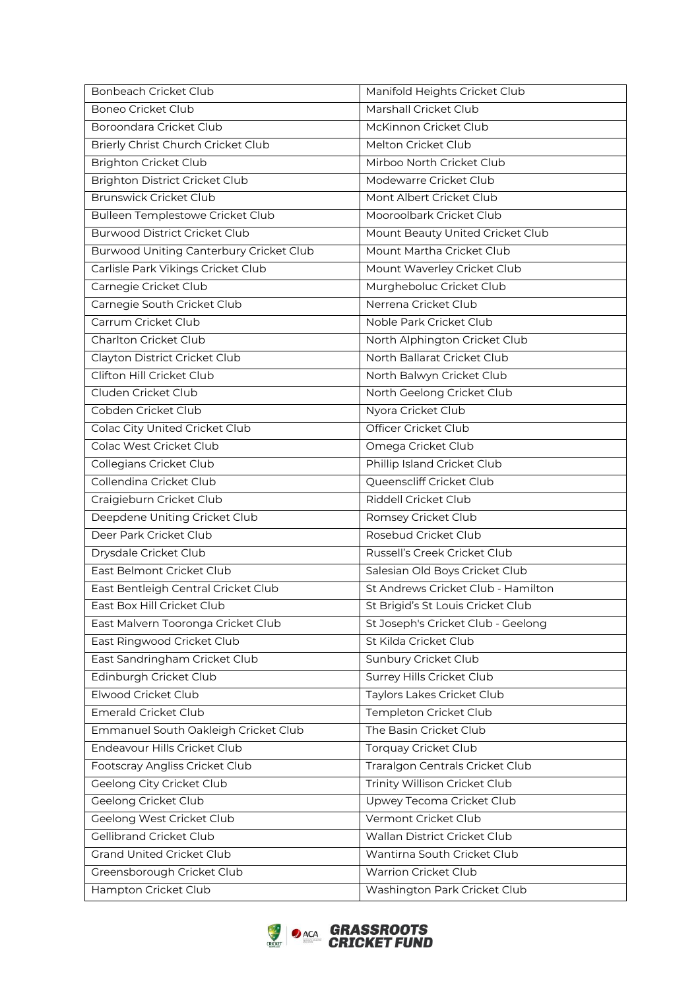| Bonbeach Cricket Club                          | Manifold Heights Cricket Club      |
|------------------------------------------------|------------------------------------|
| <b>Boneo Cricket Club</b>                      | Marshall Cricket Club              |
| Boroondara Cricket Club                        | McKinnon Cricket Club              |
| Brierly Christ Church Cricket Club             | Melton Cricket Club                |
| <b>Brighton Cricket Club</b>                   | Mirboo North Cricket Club          |
| <b>Brighton District Cricket Club</b>          | Modewarre Cricket Club             |
| <b>Brunswick Cricket Club</b>                  | Mont Albert Cricket Club           |
| Bulleen Templestowe Cricket Club               | Mooroolbark Cricket Club           |
| <b>Burwood District Cricket Club</b>           | Mount Beauty United Cricket Club   |
| <b>Burwood Uniting Canterbury Cricket Club</b> | Mount Martha Cricket Club          |
| Carlisle Park Vikings Cricket Club             | Mount Waverley Cricket Club        |
| Carnegie Cricket Club                          | Murgheboluc Cricket Club           |
| Carnegie South Cricket Club                    | Nerrena Cricket Club               |
| Carrum Cricket Club                            | Noble Park Cricket Club            |
| Charlton Cricket Club                          | North Alphington Cricket Club      |
| Clayton District Cricket Club                  | North Ballarat Cricket Club        |
| Clifton Hill Cricket Club                      | North Balwyn Cricket Club          |
| Cluden Cricket Club                            | North Geelong Cricket Club         |
| Cobden Cricket Club                            | Nyora Cricket Club                 |
| Colac City United Cricket Club                 | Officer Cricket Club               |
| Colac West Cricket Club                        | Omega Cricket Club                 |
| Collegians Cricket Club                        | Phillip Island Cricket Club        |
| Collendina Cricket Club                        | Queenscliff Cricket Club           |
| Craigieburn Cricket Club                       | Riddell Cricket Club               |
| Deepdene Uniting Cricket Club                  | Romsey Cricket Club                |
| Deer Park Cricket Club                         | Rosebud Cricket Club               |
| Drysdale Cricket Club                          | Russell's Creek Cricket Club       |
| East Belmont Cricket Club                      | Salesian Old Boys Cricket Club     |
| East Bentleigh Central Cricket Club            | St Andrews Cricket Club - Hamilton |
| East Box Hill Cricket Club                     | St Brigid's St Louis Cricket Club  |
| East Malvern Tooronga Cricket Club             | St Joseph's Cricket Club - Geelong |
| East Ringwood Cricket Club                     | St Kilda Cricket Club              |
| East Sandringham Cricket Club                  | Sunbury Cricket Club               |
| Edinburgh Cricket Club                         | Surrey Hills Cricket Club          |
| Elwood Cricket Club                            | Taylors Lakes Cricket Club         |
| <b>Emerald Cricket Club</b>                    | Templeton Cricket Club             |
| Emmanuel South Oakleigh Cricket Club           | The Basin Cricket Club             |
| Endeavour Hills Cricket Club                   | <b>Torquay Cricket Club</b>        |
| Footscray Angliss Cricket Club                 | Traralgon Centrals Cricket Club    |
| Geelong City Cricket Club                      | Trinity Willison Cricket Club      |
| Geelong Cricket Club                           | Upwey Tecoma Cricket Club          |
| Geelong West Cricket Club                      | Vermont Cricket Club               |
| Gellibrand Cricket Club                        | Wallan District Cricket Club       |
| <b>Grand United Cricket Club</b>               | Wantirna South Cricket Club        |
| Greensborough Cricket Club                     | <b>Warrion Cricket Club</b>        |
| Hampton Cricket Club                           | Washington Park Cricket Club       |

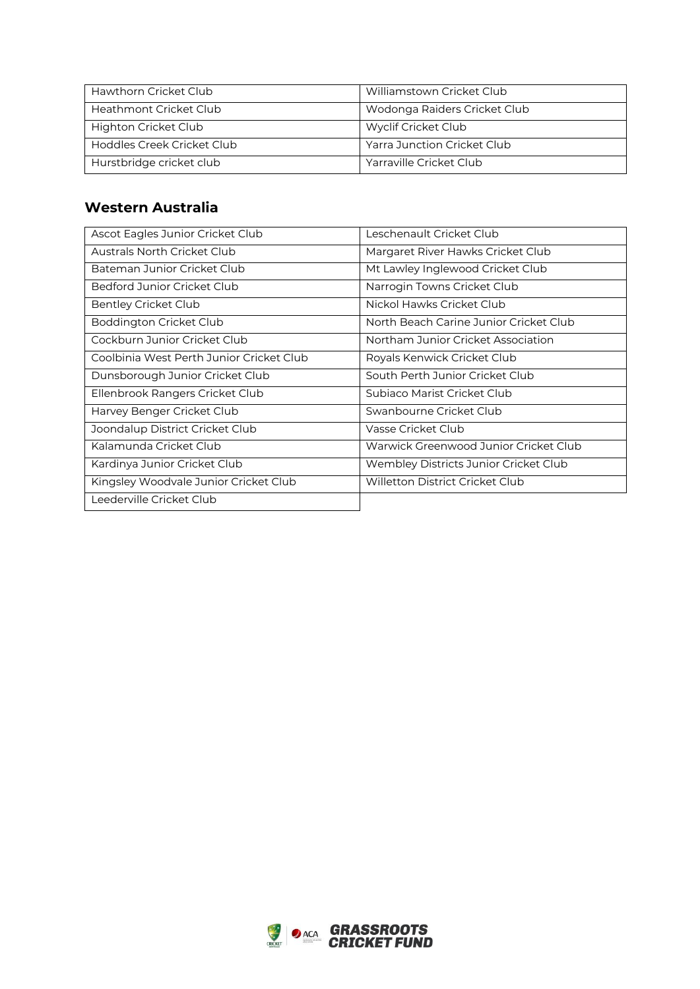| Hawthorn Cricket Club      | Williamstown Cricket Club    |
|----------------------------|------------------------------|
| Heathmont Cricket Club     | Wodonga Raiders Cricket Club |
| Highton Cricket Club       | Wyclif Cricket Club          |
| Hoddles Creek Cricket Club | Yarra Junction Cricket Club  |
| Hurstbridge cricket club   | Yarraville Cricket Club      |

### **Western Australia**

| Ascot Eagles Junior Cricket Club         | Leschenault Cricket Club               |
|------------------------------------------|----------------------------------------|
| <b>Australs North Cricket Club</b>       | Margaret River Hawks Cricket Club      |
| Bateman Junior Cricket Club              | Mt Lawley Inglewood Cricket Club       |
| Bedford Junior Cricket Club              | Narrogin Towns Cricket Club            |
| <b>Bentley Cricket Club</b>              | Nickol Hawks Cricket Club              |
| Boddington Cricket Club                  | North Beach Carine Junior Cricket Club |
| Cockburn Junior Cricket Club             | Northam Junior Cricket Association     |
| Coolbinia West Perth Junior Cricket Club | Royals Kenwick Cricket Club            |
| Dunsborough Junior Cricket Club          | South Perth Junior Cricket Club        |
| Ellenbrook Rangers Cricket Club          | Subiaco Marist Cricket Club            |
| Harvey Benger Cricket Club               | Swanbourne Cricket Club                |
| Joondalup District Cricket Club          | Vasse Cricket Club                     |
| Kalamunda Cricket Club                   | Warwick Greenwood Junior Cricket Club  |
| Kardinya Junior Cricket Club             | Wembley Districts Junior Cricket Club  |
| Kingsley Woodvale Junior Cricket Club    | <b>Willetton District Cricket Club</b> |
| Leederville Cricket Club                 |                                        |

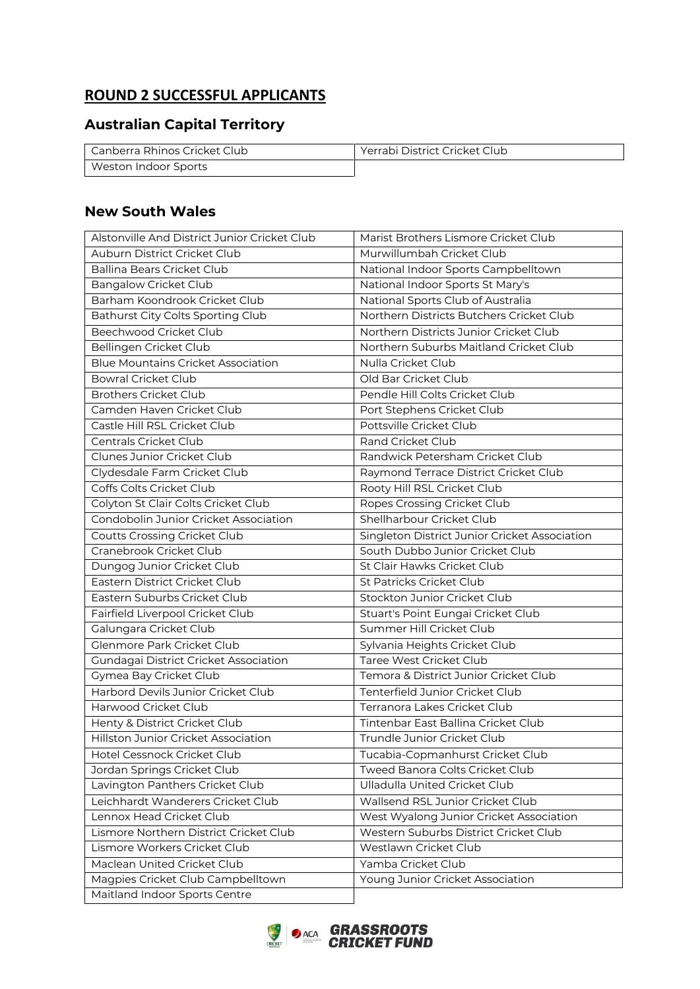# **ROUND 2 SUCCESSFUL APPLICANTS**

## **Australian Capital Territory**

| Canberra Rhinos Cricket Club | Yerrabi District Cricket Club |
|------------------------------|-------------------------------|
| Weston Indoor Sports         |                               |

### **New South Wales**

| Alstonville And District Junior Cricket Club | Marist Brothers Lismore Cricket Club          |
|----------------------------------------------|-----------------------------------------------|
| Auburn District Cricket Club                 | Murwillumbah Cricket Club                     |
| <b>Ballina Bears Cricket Club</b>            | National Indoor Sports Campbelltown           |
| <b>Bangalow Cricket Club</b>                 | National Indoor Sports St Mary's              |
| Barham Koondrook Cricket Club                | National Sports Club of Australia             |
| Bathurst City Colts Sporting Club            | Northern Districts Butchers Cricket Club      |
| Beechwood Cricket Club                       | Northern Districts Junior Cricket Club        |
| Bellingen Cricket Club                       | Northern Suburbs Maitland Cricket Club        |
| <b>Blue Mountains Cricket Association</b>    | Nulla Cricket Club                            |
| <b>Bowral Cricket Club</b>                   | Old Bar Cricket Club                          |
| <b>Brothers Cricket Club</b>                 | Pendle Hill Colts Cricket Club                |
| Camden Haven Cricket Club                    | Port Stephens Cricket Club                    |
| Castle Hill RSL Cricket Club                 | Pottsville Cricket Club                       |
| Centrals Cricket Club                        | Rand Cricket Club                             |
| Clunes Junior Cricket Club                   | Randwick Petersham Cricket Club               |
| Clydesdale Farm Cricket Club                 | Raymond Terrace District Cricket Club         |
| Coffs Colts Cricket Club                     | Rooty Hill RSL Cricket Club                   |
| Colyton St Clair Colts Cricket Club          | Ropes Crossing Cricket Club                   |
| Condobolin Junior Cricket Association        | Shellharbour Cricket Club                     |
| <b>Coutts Crossing Cricket Club</b>          | Singleton District Junior Cricket Association |
| Cranebrook Cricket Club                      | South Dubbo Junior Cricket Club               |
| Dungog Junior Cricket Club                   | St Clair Hawks Cricket Club                   |
| Eastern District Cricket Club                | St Patricks Cricket Club                      |
| Eastern Suburbs Cricket Club                 | Stockton Junior Cricket Club                  |
| Fairfield Liverpool Cricket Club             | Stuart's Point Eungai Cricket Club            |
| Galungara Cricket Club                       | Summer Hill Cricket Club                      |
| Glenmore Park Cricket Club                   | Sylvania Heights Cricket Club                 |
| Gundagai District Cricket Association        | Taree West Cricket Club                       |
| Gymea Bay Cricket Club                       | Temora & District Junior Cricket Club         |
| Harbord Devils Junior Cricket Club           | Tenterfield Junior Cricket Club               |
| Harwood Cricket Club                         | Terranora Lakes Cricket Club                  |
| Henty & District Cricket Club                | Tintenbar East Ballina Cricket Club           |
| Hillston Junior Cricket Association          | Trundle Junior Cricket Club                   |
| Hotel Cessnock Cricket Club                  | Tucabia-Copmanhurst Cricket Club              |
| Jordan Springs Cricket Club                  | Tweed Banora Colts Cricket Club               |
| Lavington Panthers Cricket Club              | <b>Ulladulla United Cricket Club</b>          |
| Leichhardt Wanderers Cricket Club            | Wallsend RSL Junior Cricket Club              |
| Lennox Head Cricket Club                     | West Wyalong Junior Cricket Association       |
| Lismore Northern District Cricket Club       | Western Suburbs District Cricket Club         |
| Lismore Workers Cricket Club                 | Westlawn Cricket Club                         |
| Maclean United Cricket Club                  | Yamba Cricket Club                            |
| Magpies Cricket Club Campbelltown            | Young Junior Cricket Association              |
| Maitland Indoor Sports Centre                |                                               |

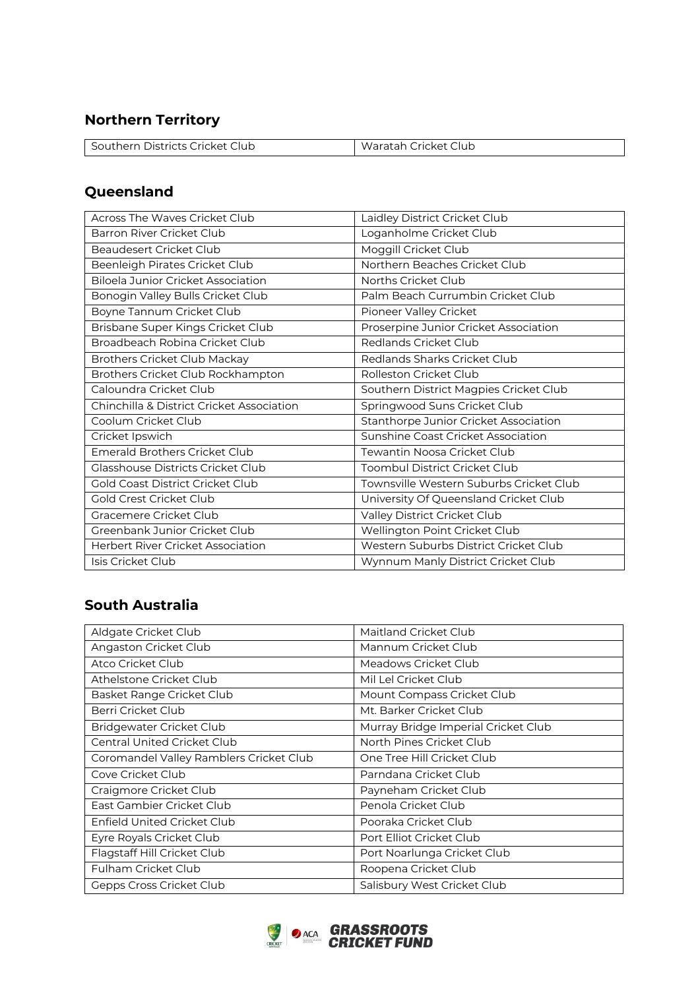## **Northern Territory**

| l Southern Districts Cricket Club | Waratah Cricket Club |
|-----------------------------------|----------------------|

## **Queensland**

| Across The Waves Cricket Club             | Laidley District Cricket Club           |
|-------------------------------------------|-----------------------------------------|
| Barron River Cricket Club                 | Loganholme Cricket Club                 |
| Beaudesert Cricket Club                   | Moggill Cricket Club                    |
| Beenleigh Pirates Cricket Club            | Northern Beaches Cricket Club           |
| <b>Biloela Junior Cricket Association</b> | Norths Cricket Club                     |
| Bonogin Valley Bulls Cricket Club         | Palm Beach Currumbin Cricket Club       |
| Boyne Tannum Cricket Club                 | Pioneer Valley Cricket                  |
| Brisbane Super Kings Cricket Club         | Proserpine Junior Cricket Association   |
| Broadbeach Robina Cricket Club            | Redlands Cricket Club                   |
| <b>Brothers Cricket Club Mackay</b>       | Redlands Sharks Cricket Club            |
| Brothers Cricket Club Rockhampton         | Rolleston Cricket Club                  |
| Caloundra Cricket Club                    | Southern District Magpies Cricket Club  |
| Chinchilla & District Cricket Association | Springwood Suns Cricket Club            |
| Coolum Cricket Club                       | Stanthorpe Junior Cricket Association   |
| Cricket Ipswich                           | Sunshine Coast Cricket Association      |
| <b>Emerald Brothers Cricket Club</b>      | Tewantin Noosa Cricket Club             |
| <b>Glasshouse Districts Cricket Club</b>  | Toombul District Cricket Club           |
| Gold Coast District Cricket Club          | Townsville Western Suburbs Cricket Club |
| Gold Crest Cricket Club                   | University Of Queensland Cricket Club   |
| Gracemere Cricket Club                    | Valley District Cricket Club            |
| Greenbank Junior Cricket Club             | Wellington Point Cricket Club           |
| <b>Herbert River Cricket Association</b>  | Western Suburbs District Cricket Club   |
| Isis Cricket Club                         | Wynnum Manly District Cricket Club      |

## **South Australia**

| Aldgate Cricket Club                    | Maitland Cricket Club               |
|-----------------------------------------|-------------------------------------|
| Angaston Cricket Club                   | Mannum Cricket Club                 |
| Atco Cricket Club                       | Meadows Cricket Club                |
| Athelstone Cricket Club                 | Mil Lel Cricket Club                |
| Basket Range Cricket Club               | Mount Compass Cricket Club          |
| Berri Cricket Club                      | Mt. Barker Cricket Club             |
| Bridgewater Cricket Club                | Murray Bridge Imperial Cricket Club |
| <b>Central United Cricket Club</b>      | North Pines Cricket Club            |
| Coromandel Valley Ramblers Cricket Club | One Tree Hill Cricket Club          |
| Cove Cricket Club                       | Parndana Cricket Club               |
| Craigmore Cricket Club                  | Payneham Cricket Club               |
| East Gambier Cricket Club               | Penola Cricket Club                 |
| Enfield United Cricket Club             | Pooraka Cricket Club                |
| Eyre Royals Cricket Club                | Port Elliot Cricket Club            |
| Flagstaff Hill Cricket Club             | Port Noarlunga Cricket Club         |
| Fulham Cricket Club                     | Roopena Cricket Club                |
| Gepps Cross Cricket Club                | Salisbury West Cricket Club         |

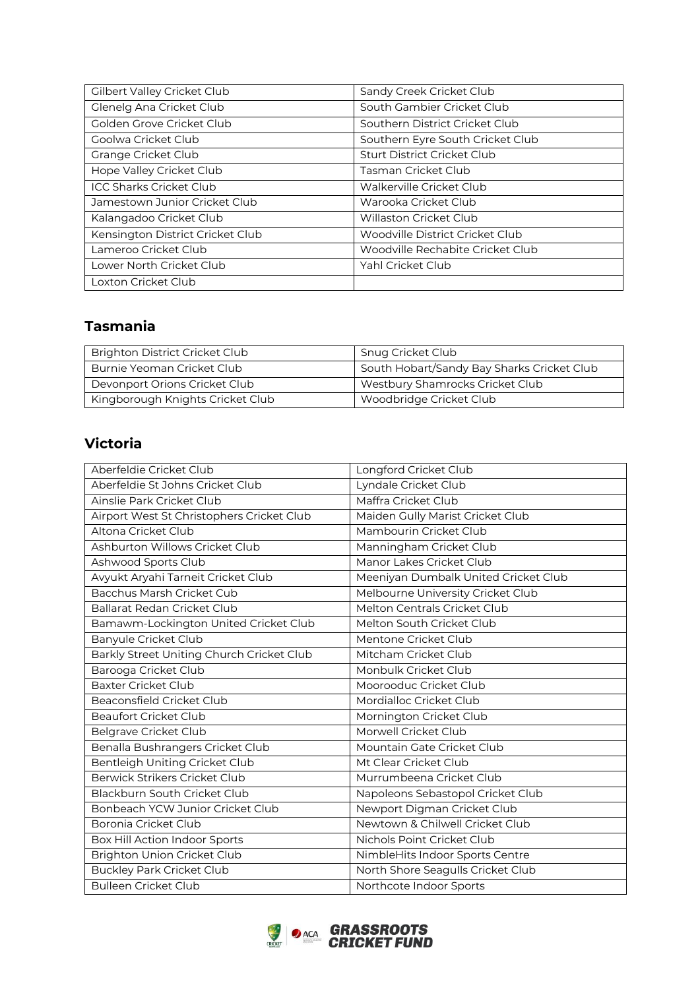| Gilbert Valley Cricket Club      | Sandy Creek Cricket Club           |
|----------------------------------|------------------------------------|
| Glenelg Ana Cricket Club         | South Gambier Cricket Club         |
| Golden Grove Cricket Club        | Southern District Cricket Club     |
| Goolwa Cricket Club              | Southern Eyre South Cricket Club   |
| Grange Cricket Club              | <b>Sturt District Cricket Club</b> |
| Hope Valley Cricket Club         | Tasman Cricket Club                |
| <b>ICC Sharks Cricket Club</b>   | Walkerville Cricket Club           |
| Jamestown Junior Cricket Club    | Warooka Cricket Club               |
| Kalangadoo Cricket Club          | <b>Willaston Cricket Club</b>      |
| Kensington District Cricket Club | Woodville District Cricket Club    |
| Lameroo Cricket Club             | Woodville Rechabite Cricket Club   |
| Lower North Cricket Club         | Yahl Cricket Club                  |
| Loxton Cricket Club              |                                    |

## **Tasmania**

| <b>Brighton District Cricket Club</b> | Snug Cricket Club                          |
|---------------------------------------|--------------------------------------------|
| Burnie Yeoman Cricket Club            | South Hobart/Sandy Bay Sharks Cricket Club |
| Devonport Orions Cricket Club         | Westbury Shamrocks Cricket Club            |
| Kingborough Knights Cricket Club      | Woodbridge Cricket Club                    |

## **Victoria**

| Aberfeldie Cricket Club                   | Longford Cricket Club                |
|-------------------------------------------|--------------------------------------|
| Aberfeldie St Johns Cricket Club          | Lyndale Cricket Club                 |
| Ainslie Park Cricket Club                 | Maffra Cricket Club                  |
| Airport West St Christophers Cricket Club | Maiden Gully Marist Cricket Club     |
| Altona Cricket Club                       | Mambourin Cricket Club               |
| Ashburton Willows Cricket Club            | Manningham Cricket Club              |
| Ashwood Sports Club                       | Manor Lakes Cricket Club             |
| Avyukt Aryahi Tarneit Cricket Club        | Meeniyan Dumbalk United Cricket Club |
| Bacchus Marsh Cricket Cub                 | Melbourne University Cricket Club    |
| Ballarat Redan Cricket Club               | Melton Centrals Cricket Club         |
| Bamawm-Lockington United Cricket Club     | Melton South Cricket Club            |
| <b>Banyule Cricket Club</b>               | Mentone Cricket Club                 |
| Barkly Street Uniting Church Cricket Club | Mitcham Cricket Club                 |
| Barooga Cricket Club                      | Monbulk Cricket Club                 |
| <b>Baxter Cricket Club</b>                | Moorooduc Cricket Club               |
| Beaconsfield Cricket Club                 | Mordialloc Cricket Club              |
| <b>Beaufort Cricket Club</b>              | Mornington Cricket Club              |
| <b>Belgrave Cricket Club</b>              | Morwell Cricket Club                 |
| Benalla Bushrangers Cricket Club          | Mountain Gate Cricket Club           |
| Bentleigh Uniting Cricket Club            | Mt Clear Cricket Club                |
| Berwick Strikers Cricket Club             | Murrumbeena Cricket Club             |
| Blackburn South Cricket Club              | Napoleons Sebastopol Cricket Club    |
| Bonbeach YCW Junior Cricket Club          | Newport Digman Cricket Club          |
| Boronia Cricket Club                      | Newtown & Chilwell Cricket Club      |
| Box Hill Action Indoor Sports             | Nichols Point Cricket Club           |
| Brighton Union Cricket Club               | NimbleHits Indoor Sports Centre      |
| <b>Buckley Park Cricket Club</b>          | North Shore Seagulls Cricket Club    |
| <b>Bulleen Cricket Club</b>               | Northcote Indoor Sports              |

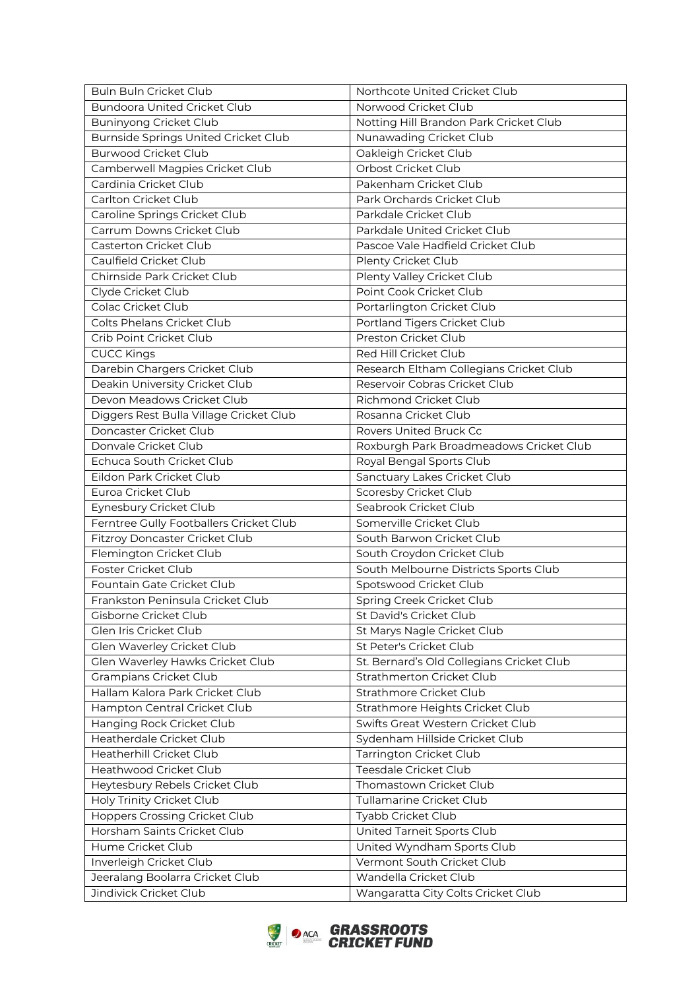| Buln Buln Cricket Club                  | Northcote United Cricket Club             |
|-----------------------------------------|-------------------------------------------|
| <b>Bundoora United Cricket Club</b>     | Norwood Cricket Club                      |
| <b>Buninyong Cricket Club</b>           | Notting Hill Brandon Park Cricket Club    |
| Burnside Springs United Cricket Club    | Nunawading Cricket Club                   |
| <b>Burwood Cricket Club</b>             | Oakleigh Cricket Club                     |
| Camberwell Magpies Cricket Club         | Orbost Cricket Club                       |
| Cardinia Cricket Club                   | Pakenham Cricket Club                     |
| Carlton Cricket Club                    | Park Orchards Cricket Club                |
| Caroline Springs Cricket Club           | Parkdale Cricket Club                     |
| Carrum Downs Cricket Club               | Parkdale United Cricket Club              |
| Casterton Cricket Club                  | Pascoe Vale Hadfield Cricket Club         |
| Caulfield Cricket Club                  | Plenty Cricket Club                       |
| Chirnside Park Cricket Club             | Plenty Valley Cricket Club                |
| Clyde Cricket Club                      | Point Cook Cricket Club                   |
| Colac Cricket Club                      | Portarlington Cricket Club                |
| Colts Phelans Cricket Club              | Portland Tigers Cricket Club              |
| Crib Point Cricket Club                 | Preston Cricket Club                      |
| <b>CUCC Kings</b>                       | Red Hill Cricket Club                     |
| Darebin Chargers Cricket Club           | Research Eltham Collegians Cricket Club   |
| Deakin University Cricket Club          | Reservoir Cobras Cricket Club             |
| Devon Meadows Cricket Club              | Richmond Cricket Club                     |
| Diggers Rest Bulla Village Cricket Club | Rosanna Cricket Club                      |
| Doncaster Cricket Club                  | Rovers United Bruck Cc                    |
| Donvale Cricket Club                    | Roxburgh Park Broadmeadows Cricket Club   |
| Echuca South Cricket Club               | Royal Bengal Sports Club                  |
| Eildon Park Cricket Club                | Sanctuary Lakes Cricket Club              |
| Euroa Cricket Club                      | Scoresby Cricket Club                     |
| Eynesbury Cricket Club                  | Seabrook Cricket Club                     |
| Ferntree Gully Footballers Cricket Club | Somerville Cricket Club                   |
| Fitzroy Doncaster Cricket Club          | South Barwon Cricket Club                 |
| Flemington Cricket Club                 | South Croydon Cricket Club                |
| Foster Cricket Club                     | South Melbourne Districts Sports Club     |
| Fountain Gate Cricket Club              | Spotswood Cricket Club                    |
| Frankston Peninsula Cricket Club        | Spring Creek Cricket Club                 |
| Gisborne Cricket Club                   | St David's Cricket Club                   |
| Glen Iris Cricket Club                  | St Marys Nagle Cricket Club               |
| Glen Waverley Cricket Club              | St Peter's Cricket Club                   |
| Glen Waverley Hawks Cricket Club        | St. Bernard's Old Collegians Cricket Club |
| Grampians Cricket Club                  | Strathmerton Cricket Club                 |
| Hallam Kalora Park Cricket Club         | Strathmore Cricket Club                   |
| Hampton Central Cricket Club            | Strathmore Heights Cricket Club           |
| Hanging Rock Cricket Club               | Swifts Great Western Cricket Club         |
| Heatherdale Cricket Club                | Sydenham Hillside Cricket Club            |
| Heatherhill Cricket Club                | Tarrington Cricket Club                   |
| Heathwood Cricket Club                  | Teesdale Cricket Club                     |
| Heytesbury Rebels Cricket Club          | Thomastown Cricket Club                   |
| Holy Trinity Cricket Club               | Tullamarine Cricket Club                  |
| <b>Hoppers Crossing Cricket Club</b>    | Tyabb Cricket Club                        |
| Horsham Saints Cricket Club             | United Tarneit Sports Club                |
| Hume Cricket Club                       | United Wyndham Sports Club                |
| Inverleigh Cricket Club                 | Vermont South Cricket Club                |
| Jeeralang Boolarra Cricket Club         | Wandella Cricket Club                     |
| Jindivick Cricket Club                  | Wangaratta City Colts Cricket Club        |